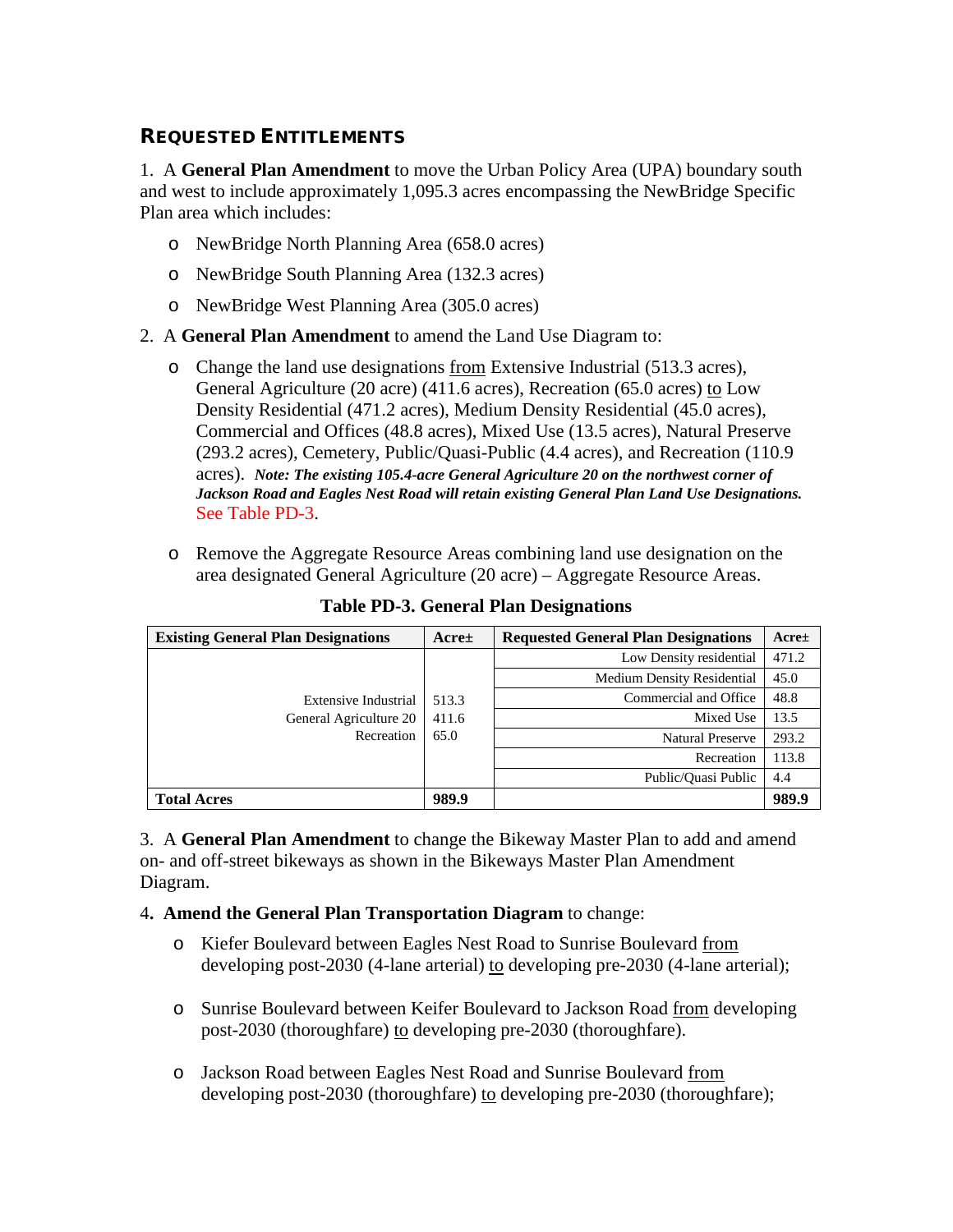## REQUESTED ENTITLEMENTS

1. A **General Plan Amendment** to move the Urban Policy Area (UPA) boundary south and west to include approximately 1,095.3 acres encompassing the NewBridge Specific Plan area which includes:

- o NewBridge North Planning Area (658.0 acres)
- o NewBridge South Planning Area (132.3 acres)
- o NewBridge West Planning Area (305.0 acres)
- 2. A **General Plan Amendment** to amend the Land Use Diagram to:
	- o Change the land use designations from Extensive Industrial (513.3 acres), General Agriculture (20 acre) (411.6 acres), Recreation (65.0 acres) to Low Density Residential (471.2 acres), Medium Density Residential (45.0 acres), Commercial and Offices (48.8 acres), Mixed Use (13.5 acres), Natural Preserve (293.2 acres), Cemetery, Public/Quasi-Public (4.4 acres), and Recreation (110.9 acres). *Note: The existing 105.4-acre General Agriculture 20 on the northwest corner of Jackson Road and Eagles Nest Road will retain existing General Plan Land Use Designations.* See Table PD-3.
	- o Remove the Aggregate Resource Areas combining land use designation on the area designated General Agriculture (20 acre) – Aggregate Resource Areas.

| <b>Existing General Plan Designations</b>                           | Accret                 | <b>Requested General Plan Designations</b> | Accret |
|---------------------------------------------------------------------|------------------------|--------------------------------------------|--------|
| <b>Extensive Industrial</b><br>General Agriculture 20<br>Recreation | 513.3<br>411.6<br>65.0 | Low Density residential                    | 471.2  |
|                                                                     |                        | <b>Medium Density Residential</b>          | 45.0   |
|                                                                     |                        | Commercial and Office                      | 48.8   |
|                                                                     |                        | Mixed Use                                  | 13.5   |
|                                                                     |                        | <b>Natural Preserve</b>                    | 293.2  |
|                                                                     |                        | Recreation                                 | 113.8  |
|                                                                     |                        | Public/Ouasi Public                        | 4.4    |
| <b>Total Acres</b>                                                  | 989.9                  |                                            | 989.9  |

**Table PD-3. General Plan Designations**

3. A **General Plan Amendment** to change the Bikeway Master Plan to add and amend on- and off-street bikeways as shown in the Bikeways Master Plan Amendment Diagram.

- 4**. Amend the General Plan Transportation Diagram** to change:
	- o Kiefer Boulevard between Eagles Nest Road to Sunrise Boulevard from developing post-2030 (4-lane arterial) to developing pre-2030 (4-lane arterial);
	- o Sunrise Boulevard between Keifer Boulevard to Jackson Road from developing post-2030 (thoroughfare) to developing pre-2030 (thoroughfare).
	- o Jackson Road between Eagles Nest Road and Sunrise Boulevard from developing post-2030 (thoroughfare) to developing pre-2030 (thoroughfare);